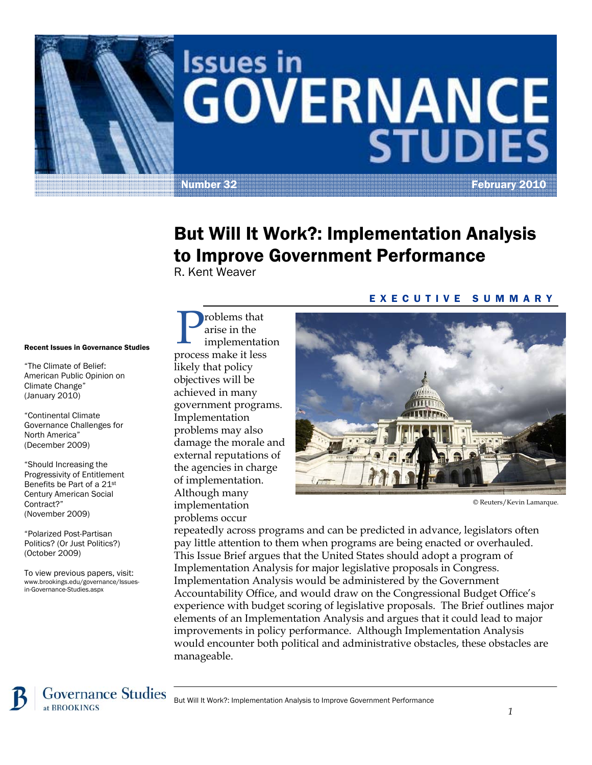

# Issues in **GOVERNANCE**

Number 32 February 2010

## But Will It Work?: Implementation Analysis to Improve Government Performance

R. Kent Weaver

#### Recent Issues in Governance Studies

"The Climate of Belief: American Public Opinion on Climate Change" (January 2010)

"Continental Climate Governance Challenges for North America" (December 2009)

"Should Increasing the Progressivity of Entitlement Benefits be Part of a 21st Century American Social Contract?" (November 2009)

"Polarized Post-Partisan Politics? (Or Just Politics?) (October 2009)

To view previous papers, visit: www.brookings.edu/governance/Issuesin-Governance-Studies.aspx

roblems that arise in the mplementation **p**roblems that<br>
implementation<br>
process make it less likely that policy objectives will be achieved in many government programs. Implementation problems may also damage the morale and external reputations of the agencies in charge of implementation. Although many implementation problems occur

#### EXECUTIVE SUMMARY



<sup>©</sup> Reuters/Kevin Lamarque.

repeatedly across programs and can be predicted in advance, legislators often pay little attention to them when programs are being enacted or overhauled. This Issue Brief argues that the United States should adopt a program of Implementation Analysis for major legislative proposals in Congress. Implementation Analysis would be administered by the Government Accountability Office, and would draw on the Congressional Budget Office's experience with budget scoring of legislative proposals. The Brief outlines major elements of an Implementation Analysis and argues that it could lead to major improvements in policy performance. Although Implementation Analysis would encounter both political and administrative obstacles, these obstacles are manageable.

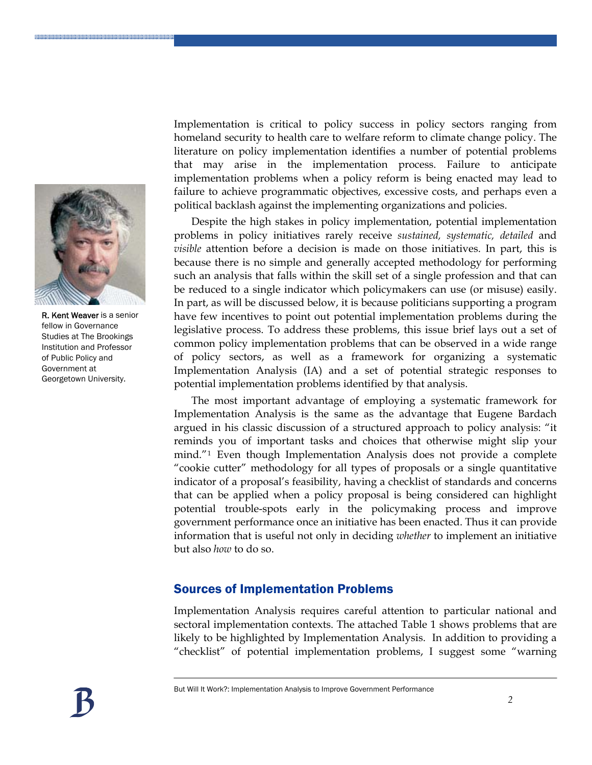

R. Kent Weaver is a senior fellow in Governance Studies at The Brookings Institution and Professor of Public Policy and Government at Georgetown University.

Implementation is critical to policy success in policy sectors ranging from homeland security to health care to welfare reform to climate change policy. The literature on policy implementation identifies a number of potential problems that may arise in the implementation process. Failure to anticipate implementation problems when a policy reform is being enacted may lead to failure to achieve programmatic objectives, excessive costs, and perhaps even a political backlash against the implementing organizations and policies.

Despite the high stakes in policy implementation, potential implementation problems in policy initiatives rarely receive *sustained, systematic, detailed* and *visible* attention before a decision is made on those initiatives. In part, this is because there is no simple and generally accepted methodology for performing such an analysis that falls within the skill set of a single profession and that can be reduced to a single indicator which policymakers can use (or misuse) easily. In part, as will be discussed below, it is because politicians supporting a program have few incentives to point out potential implementation problems during the legislative process. To address these problems, this issue brief lays out a set of common policy implementation problems that can be observed in a wide range of policy sectors, as well as a framework for organizing a systematic Implementation Analysis (IA) and a set of potential strategic responses to potential implementation problems identified by that analysis.

The most important advantage of employing a systematic framework for Implementation Analysis is the same as the advantage that Eugene Bardach argued in his classic discussion of a structured approach to policy analysis: "it reminds you of important tasks and choices that otherwise might slip your mind."[1](#page-16-0) Even though Implementation Analysis does not provide a complete "cookie cutter" methodology for all types of proposals or a single quantitative indicator of a proposal's feasibility, having a checklist of standards and concerns that can be applied when a policy proposal is being considered can highlight potential trouble-spots early in the policymaking process and improve government performance once an initiative has been enacted. Thus it can provide information that is useful not only in deciding *whether* to implement an initiative but also *how* to do so.

#### Sources of Implementation Problems

Implementation Analysis requires careful attention to particular national and sectoral implementation contexts. The attached Table 1 shows problems that are likely to be highlighted by Implementation Analysis. In addition to providing a "checklist" of potential implementation problems, I suggest some "warning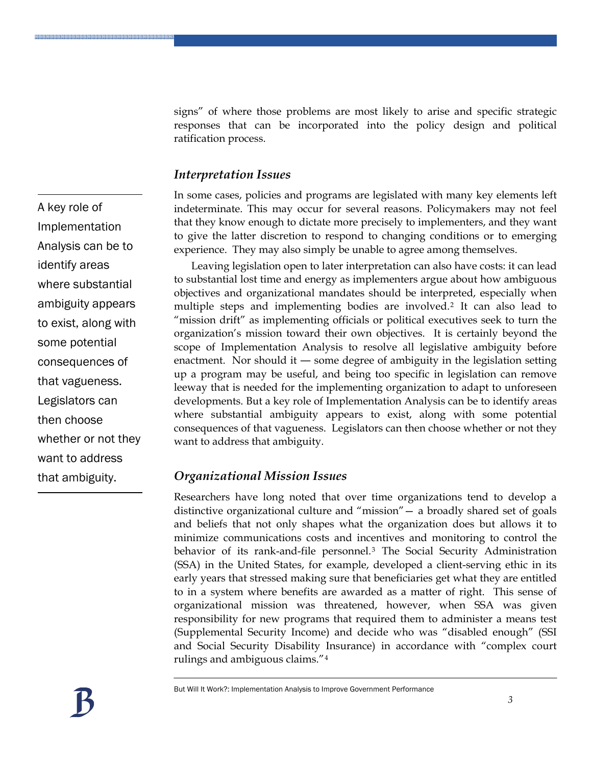signs" of where those problems are most likely to arise and specific strategic responses that can be incorporated into the policy design and political ratification process.

#### *Interpretation Issues*

In some cases, policies and programs are legislated with many key elements left indeterminate. This may occur for several reasons. Policymakers may not feel that they know enough to dictate more precisely to implementers, and they want to give the latter discretion to respond to changing conditions or to emerging experience. They may also simply be unable to agree among themselves.

Leaving legislation open to later interpretation can also have costs: it can lead to substantial lost time and energy as implementers argue about how ambiguous objectives and organizational mandates should be interpreted, especially when multiple steps and implementing bodies are involved.[2](#page-16-1) It can also lead to "mission drift" as implementing officials or political executives seek to turn the organization's mission toward their own objectives. It is certainly beyond the scope of Implementation Analysis to resolve all legislative ambiguity before enactment. Nor should it ― some degree of ambiguity in the legislation setting up a program may be useful, and being too specific in legislation can remove leeway that is needed for the implementing organization to adapt to unforeseen developments. But a key role of Implementation Analysis can be to identify areas where substantial ambiguity appears to exist, along with some potential consequences of that vagueness. Legislators can then choose whether or not they want to address that ambiguity.

#### *Organizational Mission Issues*

Researchers have long noted that over time organizations tend to develop a distinctive organizational culture and "mission"— a broadly shared set of goals and beliefs that not only shapes what the organization does but allows it to minimize communications costs and incentives and monitoring to control the behavior of its rank-and-file personnel.<sup>[3](#page-16-1)</sup> The Social Security Administration (SSA) in the United States, for example, developed a client-serving ethic in its early years that stressed making sure that beneficiaries get what they are entitled to in a system where benefits are awarded as a matter of right. This sense of organizational mission was threatened, however, when SSA was given responsibility for new programs that required them to administer a means test (Supplemental Security Income) and decide who was "disabled enough" (SSI and Social Security Disability Insurance) in accordance with "complex court rulings and ambiguous claims."[4](#page-16-1)

*3*

A key role of Implementation Analysis can be to identify areas where substantial ambiguity appears to exist, along with some potential consequences of that vagueness. Legislators can then choose whether or not they want to address that ambiguity.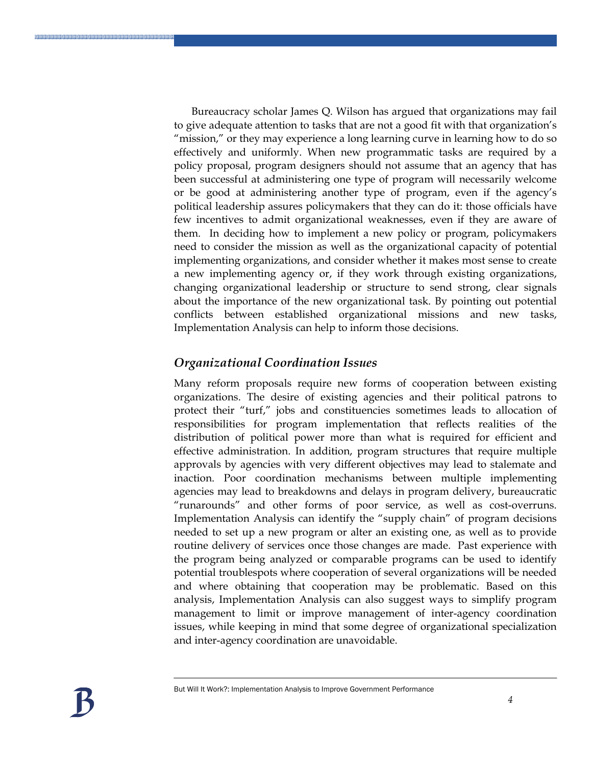Bureaucracy scholar James Q. Wilson has argued that organizations may fail to give adequate attention to tasks that are not a good fit with that organization's "mission," or they may experience a long learning curve in learning how to do so effectively and uniformly. When new programmatic tasks are required by a policy proposal, program designers should not assume that an agency that has been successful at administering one type of program will necessarily welcome or be good at administering another type of program, even if the agency's political leadership assures policymakers that they can do it: those officials have few incentives to admit organizational weaknesses, even if they are aware of them. In deciding how to implement a new policy or program, policymakers need to consider the mission as well as the organizational capacity of potential implementing organizations, and consider whether it makes most sense to create a new implementing agency or, if they work through existing organizations, changing organizational leadership or structure to send strong, clear signals about the importance of the new organizational task. By pointing out potential conflicts between established organizational missions and new tasks, Implementation Analysis can help to inform those decisions.

#### *Organizational Coordination Issues*

Many reform proposals require new forms of cooperation between existing organizations. The desire of existing agencies and their political patrons to protect their "turf," jobs and constituencies sometimes leads to allocation of responsibilities for program implementation that reflects realities of the distribution of political power more than what is required for efficient and effective administration. In addition, program structures that require multiple approvals by agencies with very different objectives may lead to stalemate and inaction. Poor coordination mechanisms between multiple implementing agencies may lead to breakdowns and delays in program delivery, bureaucratic "runarounds" and other forms of poor service, as well as cost-overruns. Implementation Analysis can identify the "supply chain" of program decisions needed to set up a new program or alter an existing one, as well as to provide routine delivery of services once those changes are made. Past experience with the program being analyzed or comparable programs can be used to identify potential troublespots where cooperation of several organizations will be needed and where obtaining that cooperation may be problematic. Based on this analysis, Implementation Analysis can also suggest ways to simplify program management to limit or improve management of inter-agency coordination issues, while keeping in mind that some degree of organizational specialization and inter-agency coordination are unavoidable.

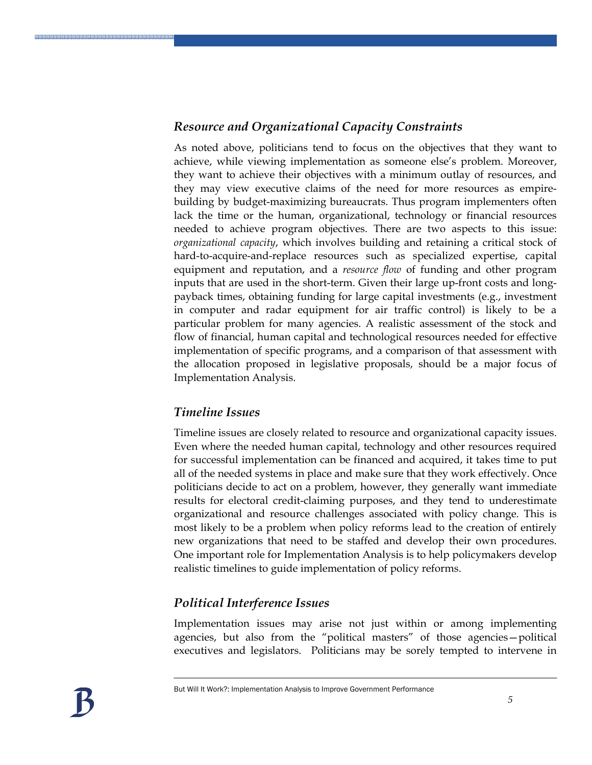#### *Resource and Organizational Capacity Constraints*

As noted above, politicians tend to focus on the objectives that they want to achieve, while viewing implementation as someone else's problem. Moreover, they want to achieve their objectives with a minimum outlay of resources, and they may view executive claims of the need for more resources as empirebuilding by budget-maximizing bureaucrats. Thus program implementers often lack the time or the human, organizational, technology or financial resources needed to achieve program objectives. There are two aspects to this issue: *organizational capacity*, which involves building and retaining a critical stock of hard-to-acquire-and-replace resources such as specialized expertise, capital equipment and reputation, and a *resource flow* of funding and other program inputs that are used in the short-term. Given their large up-front costs and longpayback times, obtaining funding for large capital investments (e.g., investment in computer and radar equipment for air traffic control) is likely to be a particular problem for many agencies. A realistic assessment of the stock and flow of financial, human capital and technological resources needed for effective implementation of specific programs, and a comparison of that assessment with the allocation proposed in legislative proposals, should be a major focus of Implementation Analysis.

#### *Timeline Issues*

Timeline issues are closely related to resource and organizational capacity issues. Even where the needed human capital, technology and other resources required for successful implementation can be financed and acquired, it takes time to put all of the needed systems in place and make sure that they work effectively. Once politicians decide to act on a problem, however, they generally want immediate results for electoral credit-claiming purposes, and they tend to underestimate organizational and resource challenges associated with policy change. This is most likely to be a problem when policy reforms lead to the creation of entirely new organizations that need to be staffed and develop their own procedures. One important role for Implementation Analysis is to help policymakers develop realistic timelines to guide implementation of policy reforms.

#### *Political Interference Issues*

Implementation issues may arise not just within or among implementing agencies, but also from the "political masters" of those agencies—political executives and legislators. Politicians may be sorely tempted to intervene in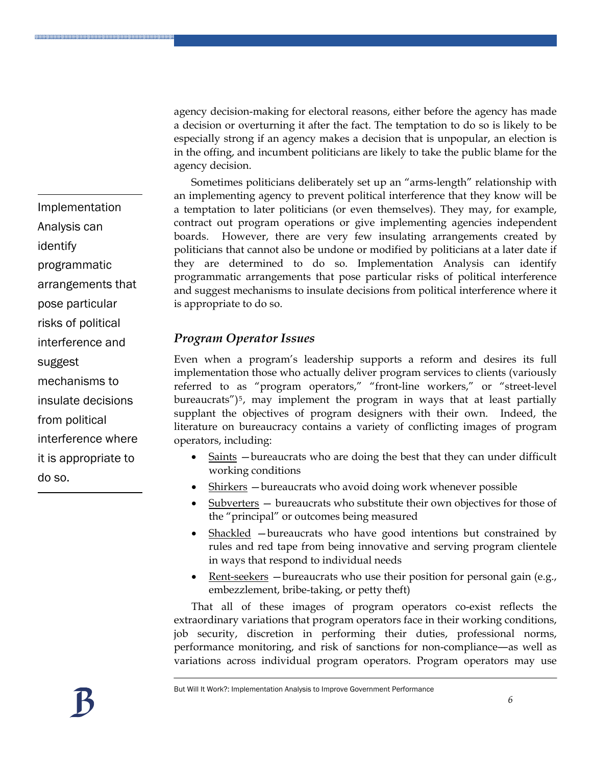agency decision-making for electoral reasons, either before the agency has made a decision or overturning it after the fact. The temptation to do so is likely to be especially strong if an agency makes a decision that is unpopular, an election is in the offing, and incumbent politicians are likely to take the public blame for the agency decision.

Sometimes politicians deliberately set up an "arms-length" relationship with an implementing agency to prevent political interference that they know will be a temptation to later politicians (or even themselves). They may, for example, contract out program operations or give implementing agencies independent boards. However, there are very few insulating arrangements created by politicians that cannot also be undone or modified by politicians at a later date if they are determined to do so. Implementation Analysis can identify programmatic arrangements that pose particular risks of political interference and suggest mechanisms to insulate decisions from political interference where it is appropriate to do so.

#### *Program Operator Issues*

Even when a program's leadership supports a reform and desires its full implementation those who actually deliver program services to clients (variously referred to as "program operators," "front-line workers," or "street-level bureaucrats")<sup>[5](#page-16-1)</sup>, may implement the program in ways that at least partially supplant the objectives of program designers with their own. Indeed, the literature on bureaucracy contains a variety of conflicting images of program operators, including:

- Saints bureaucrats who are doing the best that they can under difficult working conditions
- Shirkers —bureaucrats who avoid doing work whenever possible
- Subverters bureaucrats who substitute their own objectives for those of the "principal" or outcomes being measured
- Shackled bureaucrats who have good intentions but constrained by rules and red tape from being innovative and serving program clientele in ways that respond to individual needs
- Rent-seekers  $-$  bureaucrats who use their position for personal gain (e.g., embezzlement, bribe-taking, or petty theft)

That all of these images of program operators co-exist reflects the extraordinary variations that program operators face in their working conditions, job security, discretion in performing their duties, professional norms, performance monitoring, and risk of sanctions for non-compliance―as well as variations across individual program operators. Program operators may use

Analysis can identify programmatic arrangements that pose particular risks of political interference and suggest mechanisms to insulate decisions from political interference where it is appropriate to

do so.

Implementation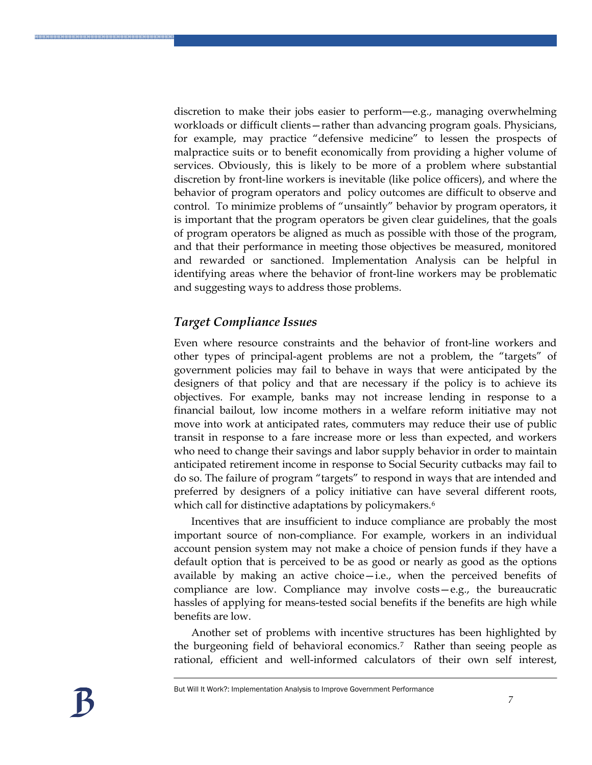discretion to make their jobs easier to perform―e.g., managing overwhelming workloads or difficult clients—rather than advancing program goals. Physicians, for example, may practice "defensive medicine" to lessen the prospects of malpractice suits or to benefit economically from providing a higher volume of services. Obviously, this is likely to be more of a problem where substantial discretion by front-line workers is inevitable (like police officers), and where the behavior of program operators and policy outcomes are difficult to observe and control. To minimize problems of "unsaintly" behavior by program operators, it is important that the program operators be given clear guidelines, that the goals of program operators be aligned as much as possible with those of the program, and that their performance in meeting those objectives be measured, monitored and rewarded or sanctioned. Implementation Analysis can be helpful in identifying areas where the behavior of front-line workers may be problematic and suggesting ways to address those problems.

#### *Target Compliance Issues*

Even where resource constraints and the behavior of front-line workers and other types of principal-agent problems are not a problem, the "targets" of government policies may fail to behave in ways that were anticipated by the designers of that policy and that are necessary if the policy is to achieve its objectives. For example, banks may not increase lending in response to a financial bailout, low income mothers in a welfare reform initiative may not move into work at anticipated rates, commuters may reduce their use of public transit in response to a fare increase more or less than expected, and workers who need to change their savings and labor supply behavior in order to maintain anticipated retirement income in response to Social Security cutbacks may fail to do so. The failure of program "targets" to respond in ways that are intended and preferred by designers of a policy initiative can have several different roots, which call for distinctive adaptations by policymakers.<sup>[6](#page-16-1)</sup>

Incentives that are insufficient to induce compliance are probably the most important source of non-compliance. For example, workers in an individual account pension system may not make a choice of pension funds if they have a default option that is perceived to be as good or nearly as good as the options available by making an active choice—i.e., when the perceived benefits of compliance are low. Compliance may involve costs—e.g., the bureaucratic hassles of applying for means-tested social benefits if the benefits are high while benefits are low.

Another set of problems with incentive structures has been highlighted by the burgeoning field of behavioral economics.[7](#page-16-1) Rather than seeing people as rational, efficient and well-informed calculators of their own self interest,

\*\*\*\*\*\*\*\*\*\*\*\*\*\*\*\*\*\*\*\*\*\*\*\*\*\*\*\*\*\*\*\*\*\*\*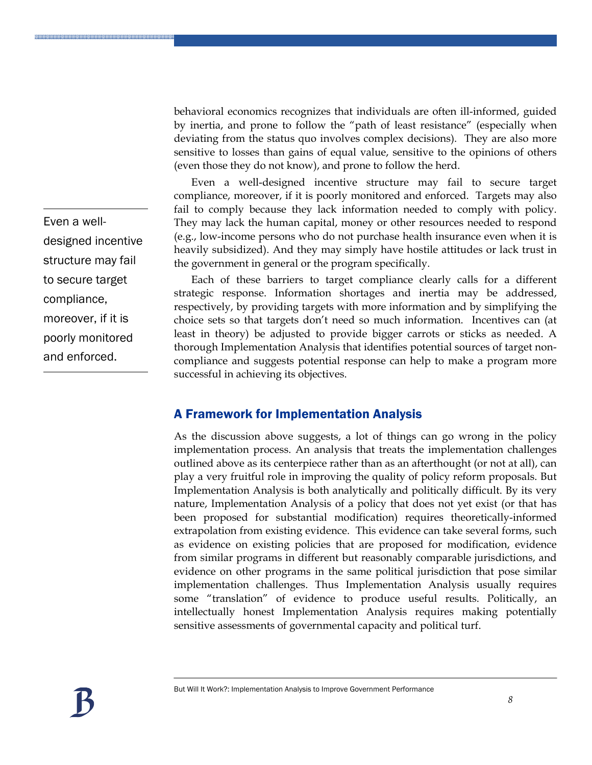sensitive to losses than gains of equal value, sensitive to the opinions of others (even those they do not know), and prone to follow the herd. Even a well-designed incentive structure may fail to secure target compliance, moreover, if it is poorly monitored and enforced. Targets may also fail to comply because they lack information needed to comply with policy. They may lack the human capital, money or other resources needed to respond (e.g., low-income persons who do not purchase health insurance even when it is heavily subsidized). And they may simply have hostile attitudes or lack trust in

> Each of these barriers to target compliance clearly calls for a different strategic response. Information shortages and inertia may be addressed, respectively, by providing targets with more information and by simplifying the choice sets so that targets don't need so much information. Incentives can (at least in theory) be adjusted to provide bigger carrots or sticks as needed. A thorough Implementation Analysis that identifies potential sources of target noncompliance and suggests potential response can help to make a program more successful in achieving its objectives.

> behavioral economics recognizes that individuals are often ill-informed, guided by inertia, and prone to follow the "path of least resistance" (especially when deviating from the status quo involves complex decisions). They are also more

#### A Framework for Implementation Analysis

the government in general or the program specifically.

As the discussion above suggests, a lot of things can go wrong in the policy implementation process. An analysis that treats the implementation challenges outlined above as its centerpiece rather than as an afterthought (or not at all), can play a very fruitful role in improving the quality of policy reform proposals. But Implementation Analysis is both analytically and politically difficult. By its very nature, Implementation Analysis of a policy that does not yet exist (or that has been proposed for substantial modification) requires theoretically-informed extrapolation from existing evidence. This evidence can take several forms, such as evidence on existing policies that are proposed for modification, evidence from similar programs in different but reasonably comparable jurisdictions, and evidence on other programs in the same political jurisdiction that pose similar implementation challenges. Thus Implementation Analysis usually requires some "translation" of evidence to produce useful results. Politically, an intellectually honest Implementation Analysis requires making potentially sensitive assessments of governmental capacity and political turf.



*8*

Even a welldesigned incentive structure may fail to secure target compliance, moreover, if it is poorly monitored and enforced.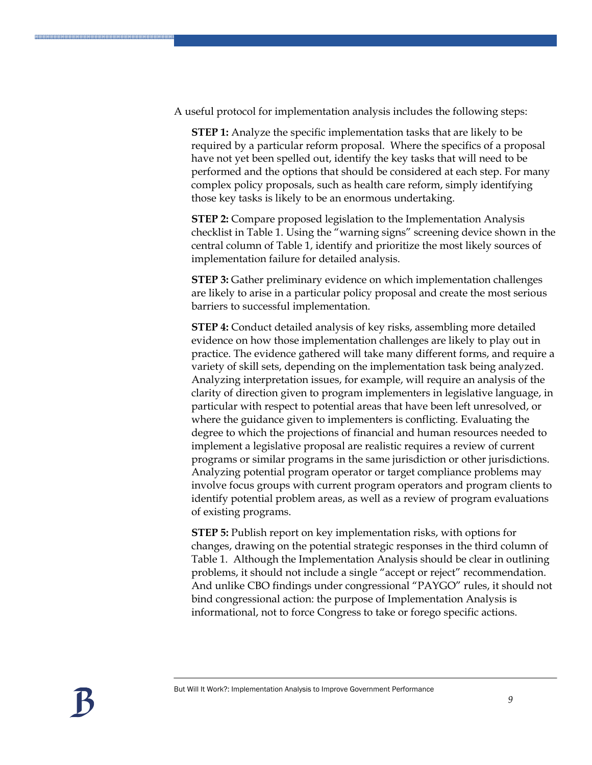A useful protocol for implementation analysis includes the following steps:

**STEP 1:** Analyze the specific implementation tasks that are likely to be required by a particular reform proposal. Where the specifics of a proposal have not yet been spelled out, identify the key tasks that will need to be performed and the options that should be considered at each step. For many complex policy proposals, such as health care reform, simply identifying those key tasks is likely to be an enormous undertaking.

**STEP 2:** Compare proposed legislation to the Implementation Analysis checklist in Table 1. Using the "warning signs" screening device shown in the central column of Table 1, identify and prioritize the most likely sources of implementation failure for detailed analysis.

**STEP 3:** Gather preliminary evidence on which implementation challenges are likely to arise in a particular policy proposal and create the most serious barriers to successful implementation.

**STEP 4:** Conduct detailed analysis of key risks, assembling more detailed evidence on how those implementation challenges are likely to play out in practice. The evidence gathered will take many different forms, and require a variety of skill sets, depending on the implementation task being analyzed. Analyzing interpretation issues, for example, will require an analysis of the clarity of direction given to program implementers in legislative language, in particular with respect to potential areas that have been left unresolved, or where the guidance given to implementers is conflicting. Evaluating the degree to which the projections of financial and human resources needed to implement a legislative proposal are realistic requires a review of current programs or similar programs in the same jurisdiction or other jurisdictions. Analyzing potential program operator or target compliance problems may involve focus groups with current program operators and program clients to identify potential problem areas, as well as a review of program evaluations of existing programs.

**STEP 5:** Publish report on key implementation risks, with options for changes, drawing on the potential strategic responses in the third column of Table 1. Although the Implementation Analysis should be clear in outlining problems, it should not include a single "accept or reject" recommendation. And unlike CBO findings under congressional "PAYGO" rules, it should not bind congressional action: the purpose of Implementation Analysis is informational, not to force Congress to take or forego specific actions.

\*\*\*\*\*\*\*\*\*\*\*\*\*\*\*\*\*\*\*\*\*\*\*\*\*\*\*\*\*\*\*\*\*\*\*\*\*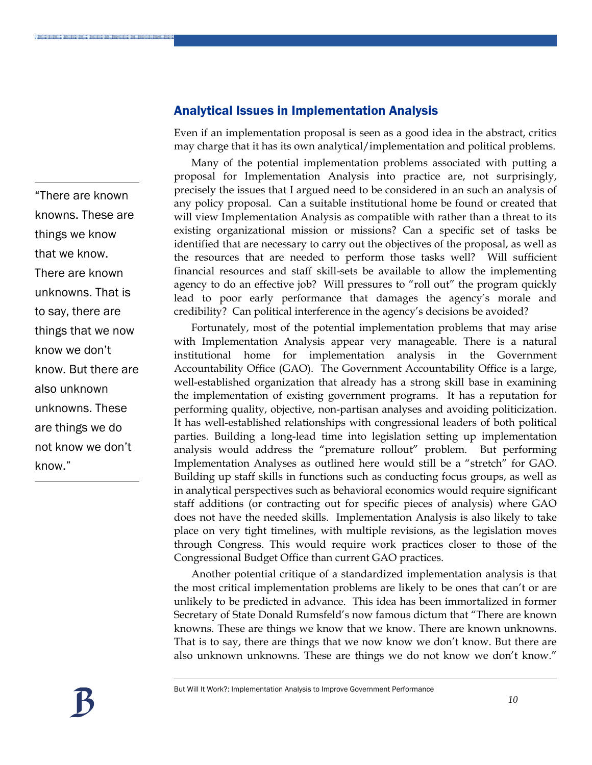"There are known knowns. These are things we know that we know. There are known unknowns. That is to say, there are things that we now know we don't know. But there are also unknown unknowns. These are things we do not know we don't know."

#### Analytical Issues in Implementation Analysis

Even if an implementation proposal is seen as a good idea in the abstract, critics may charge that it has its own analytical/implementation and political problems.

Many of the potential implementation problems associated with putting a proposal for Implementation Analysis into practice are, not surprisingly, precisely the issues that I argued need to be considered in an such an analysis of any policy proposal. Can a suitable institutional home be found or created that will view Implementation Analysis as compatible with rather than a threat to its existing organizational mission or missions? Can a specific set of tasks be identified that are necessary to carry out the objectives of the proposal, as well as the resources that are needed to perform those tasks well? Will sufficient financial resources and staff skill-sets be available to allow the implementing agency to do an effective job? Will pressures to "roll out" the program quickly lead to poor early performance that damages the agency's morale and credibility? Can political interference in the agency's decisions be avoided?

Fortunately, most of the potential implementation problems that may arise with Implementation Analysis appear very manageable. There is a natural institutional home for implementation analysis in the Government Accountability Office (GAO). The Government Accountability Office is a large, well-established organization that already has a strong skill base in examining the implementation of existing government programs. It has a reputation for performing quality, objective, non-partisan analyses and avoiding politicization. It has well-established relationships with congressional leaders of both political parties. Building a long-lead time into legislation setting up implementation analysis would address the "premature rollout" problem. But performing Implementation Analyses as outlined here would still be a "stretch" for GAO. Building up staff skills in functions such as conducting focus groups, as well as in analytical perspectives such as behavioral economics would require significant staff additions (or contracting out for specific pieces of analysis) where GAO does not have the needed skills. Implementation Analysis is also likely to take place on very tight timelines, with multiple revisions, as the legislation moves through Congress. This would require work practices closer to those of the Congressional Budget Office than current GAO practices.

Another potential critique of a standardized implementation analysis is that the most critical implementation problems are likely to be ones that can't or are unlikely to be predicted in advance. This idea has been immortalized in former Secretary of State Donald Rumsfeld's now famous dictum that "There are known knowns. These are things we know that we know. There are known unknowns. That is to say, there are things that we now know we don't know. But there are also unknown unknowns. These are things we do not know we don't know."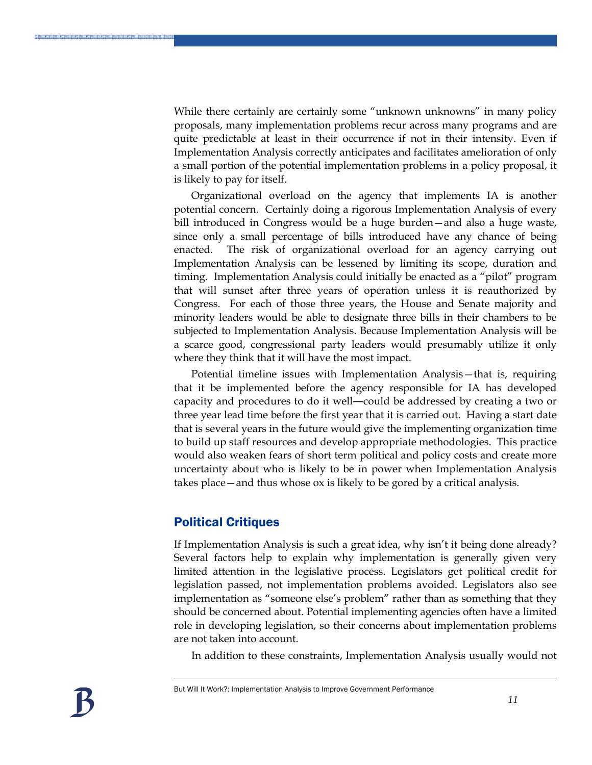While there certainly are certainly some "unknown unknowns" in many policy proposals, many implementation problems recur across many programs and are quite predictable at least in their occurrence if not in their intensity. Even if Implementation Analysis correctly anticipates and facilitates amelioration of only a small portion of the potential implementation problems in a policy proposal, it is likely to pay for itself.

Organizational overload on the agency that implements IA is another potential concern. Certainly doing a rigorous Implementation Analysis of every bill introduced in Congress would be a huge burden—and also a huge waste, since only a small percentage of bills introduced have any chance of being enacted. The risk of organizational overload for an agency carrying out Implementation Analysis can be lessened by limiting its scope, duration and timing. Implementation Analysis could initially be enacted as a "pilot" program that will sunset after three years of operation unless it is reauthorized by Congress. For each of those three years, the House and Senate majority and minority leaders would be able to designate three bills in their chambers to be subjected to Implementation Analysis. Because Implementation Analysis will be a scarce good, congressional party leaders would presumably utilize it only where they think that it will have the most impact.

Potential timeline issues with Implementation Analysis—that is, requiring that it be implemented before the agency responsible for IA has developed capacity and procedures to do it well―could be addressed by creating a two or three year lead time before the first year that it is carried out. Having a start date that is several years in the future would give the implementing organization time to build up staff resources and develop appropriate methodologies. This practice would also weaken fears of short term political and policy costs and create more uncertainty about who is likely to be in power when Implementation Analysis takes place—and thus whose ox is likely to be gored by a critical analysis.

#### Political Critiques

If Implementation Analysis is such a great idea, why isn't it being done already? Several factors help to explain why implementation is generally given very limited attention in the legislative process. Legislators get political credit for legislation passed, not implementation problems avoided. Legislators also see implementation as "someone else's problem" rather than as something that they should be concerned about. Potential implementing agencies often have a limited role in developing legislation, so their concerns about implementation problems are not taken into account.

In addition to these constraints, Implementation Analysis usually would not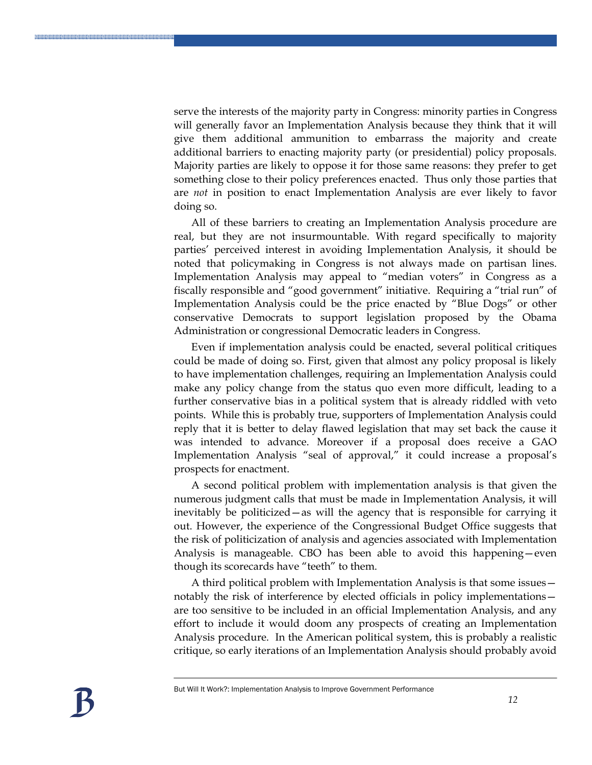serve the interests of the majority party in Congress: minority parties in Congress will generally favor an Implementation Analysis because they think that it will give them additional ammunition to embarrass the majority and create additional barriers to enacting majority party (or presidential) policy proposals. Majority parties are likely to oppose it for those same reasons: they prefer to get something close to their policy preferences enacted. Thus only those parties that are *not* in position to enact Implementation Analysis are ever likely to favor doing so.

All of these barriers to creating an Implementation Analysis procedure are real, but they are not insurmountable. With regard specifically to majority parties' perceived interest in avoiding Implementation Analysis, it should be noted that policymaking in Congress is not always made on partisan lines. Implementation Analysis may appeal to "median voters" in Congress as a fiscally responsible and "good government" initiative. Requiring a "trial run" of Implementation Analysis could be the price enacted by "Blue Dogs" or other conservative Democrats to support legislation proposed by the Obama Administration or congressional Democratic leaders in Congress.

Even if implementation analysis could be enacted, several political critiques could be made of doing so. First, given that almost any policy proposal is likely to have implementation challenges, requiring an Implementation Analysis could make any policy change from the status quo even more difficult, leading to a further conservative bias in a political system that is already riddled with veto points. While this is probably true, supporters of Implementation Analysis could reply that it is better to delay flawed legislation that may set back the cause it was intended to advance. Moreover if a proposal does receive a GAO Implementation Analysis "seal of approval," it could increase a proposal's prospects for enactment.

A second political problem with implementation analysis is that given the numerous judgment calls that must be made in Implementation Analysis, it will inevitably be politicized—as will the agency that is responsible for carrying it out. However, the experience of the Congressional Budget Office suggests that the risk of politicization of analysis and agencies associated with Implementation Analysis is manageable. CBO has been able to avoid this happening—even though its scorecards have "teeth" to them.

A third political problem with Implementation Analysis is that some issues notably the risk of interference by elected officials in policy implementations are too sensitive to be included in an official Implementation Analysis, and any effort to include it would doom any prospects of creating an Implementation Analysis procedure. In the American political system, this is probably a realistic critique, so early iterations of an Implementation Analysis should probably avoid

\*\*\*\*\*\*\*\*\*\*\*\*\*\*\*\*\*\*\*\*\*\*\*\*\*\*\*\*\*\*\*\*\*\*\*\*\*\*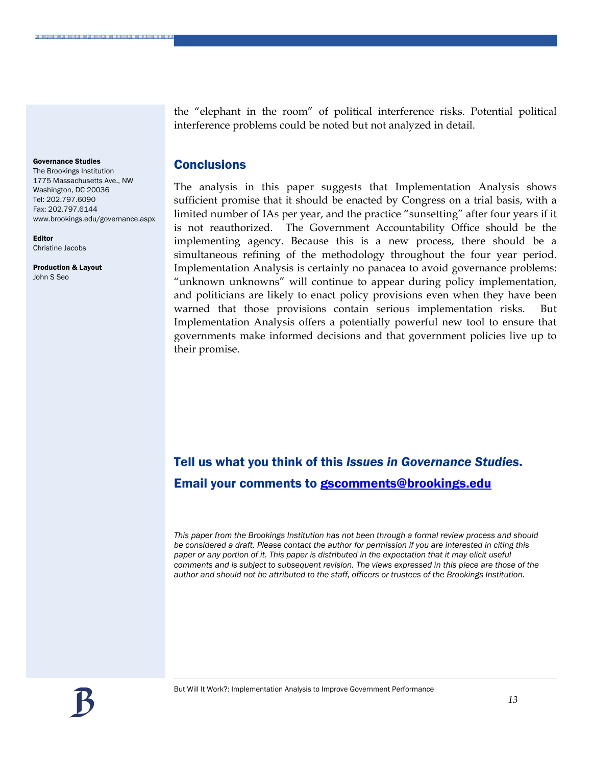Governance Studies

The Brookings Institution 1775 Massachusetts Ave., NW Washington, DC 20036 Tel: 202.797.6090 Fax: 202.797.6144 www.brookings.edu/governance.aspx

2020-2020-2020-2020-2020-2020-2020-2020-2020-2020-2020-2020-2020-2020-2020

Editor Christine Jacobs

Production & Layout John S Seo

the "elephant in the room" of political interference risks. Potential political interference problems could be noted but not analyzed in detail.

#### **Conclusions**

The analysis in this paper suggests that Implementation Analysis shows sufficient promise that it should be enacted by Congress on a trial basis, with a limited number of IAs per year, and the practice "sunsetting" after four years if it is not reauthorized. The Government Accountability Office should be the implementing agency. Because this is a new process, there should be a simultaneous refining of the methodology throughout the four year period. Implementation Analysis is certainly no panacea to avoid governance problems: "unknown unknowns" will continue to appear during policy implementation, and politicians are likely to enact policy provisions even when they have been warned that those provisions contain serious implementation risks. But Implementation Analysis offers a potentially powerful new tool to ensure that governments make informed decisions and that government policies live up to their promise.

## Tell us what you think of this *Issues in Governance Studies*. Email your comments to [gscomments@brookings.edu](mailto:gscomments@brookings.edu)

*This paper from the Brookings Institution has not been through a formal review process and should be considered a draft. Please contact the author for permission if you are interested in citing this paper or any portion of it. This paper is distributed in the expectation that it may elicit useful comments and is subject to subsequent revision. The views expressed in this piece are those of the author and should not be attributed to the staff, officers or trustees of the Brookings Institution.*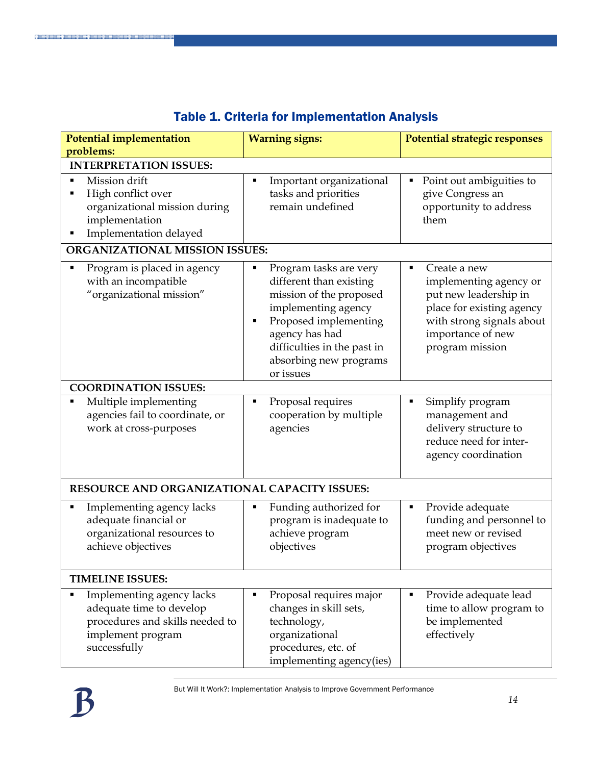| <b>Potential implementation</b><br>problems:                                                                                  | <b>Warning signs:</b>                                                                                                                                                                                                     | Potential strategic responses                                                                                                                                          |  |  |
|-------------------------------------------------------------------------------------------------------------------------------|---------------------------------------------------------------------------------------------------------------------------------------------------------------------------------------------------------------------------|------------------------------------------------------------------------------------------------------------------------------------------------------------------------|--|--|
| <b>INTERPRETATION ISSUES:</b>                                                                                                 |                                                                                                                                                                                                                           |                                                                                                                                                                        |  |  |
| Mission drift<br>٠<br>High conflict over<br>٠<br>organizational mission during<br>implementation<br>Implementation delayed    | Important organizational<br>٠<br>tasks and priorities<br>remain undefined                                                                                                                                                 | Point out ambiguities to<br>٠<br>give Congress an<br>opportunity to address<br>them                                                                                    |  |  |
| ORGANIZATIONAL MISSION ISSUES:                                                                                                |                                                                                                                                                                                                                           |                                                                                                                                                                        |  |  |
| Program is placed in agency<br>$\blacksquare$<br>with an incompatible<br>"organizational mission"                             | Program tasks are very<br>different than existing<br>mission of the proposed<br>implementing agency<br>Proposed implementing<br>٠<br>agency has had<br>difficulties in the past in<br>absorbing new programs<br>or issues | Create a new<br>٠<br>implementing agency or<br>put new leadership in<br>place for existing agency<br>with strong signals about<br>importance of new<br>program mission |  |  |
| <b>COORDINATION ISSUES:</b>                                                                                                   |                                                                                                                                                                                                                           |                                                                                                                                                                        |  |  |
| Multiple implementing<br>٠<br>agencies fail to coordinate, or<br>work at cross-purposes                                       | Proposal requires<br>п<br>cooperation by multiple<br>agencies                                                                                                                                                             | Simplify program<br>٠<br>management and<br>delivery structure to<br>reduce need for inter-<br>agency coordination                                                      |  |  |
| RESOURCE AND ORGANIZATIONAL CAPACITY ISSUES:                                                                                  |                                                                                                                                                                                                                           |                                                                                                                                                                        |  |  |
| Implementing agency lacks<br>adequate financial or<br>organizational resources to<br>achieve objectives                       | Funding authorized for<br>٠<br>program is inadequate to<br>achieve program<br>objectives                                                                                                                                  | Provide adequate<br>٠<br>funding and personnel to<br>meet new or revised<br>program objectives                                                                         |  |  |
| <b>TIMELINE ISSUES:</b>                                                                                                       |                                                                                                                                                                                                                           |                                                                                                                                                                        |  |  |
| Implementing agency lacks<br>adequate time to develop<br>procedures and skills needed to<br>implement program<br>successfully | Proposal requires major<br>changes in skill sets,<br>technology,<br>organizational<br>procedures, etc. of<br>implementing agency(ies)                                                                                     | Provide adequate lead<br>٠<br>time to allow program to<br>be implemented<br>effectively                                                                                |  |  |

### Table 1. Criteria for Implementation Analysis

**NORTHLAND CONTRACT OF A SERVICE AND A SERVICE OF A SERVICE OF A SERVICE OF A SERVICE OF A SERVICE OF A SERVICE**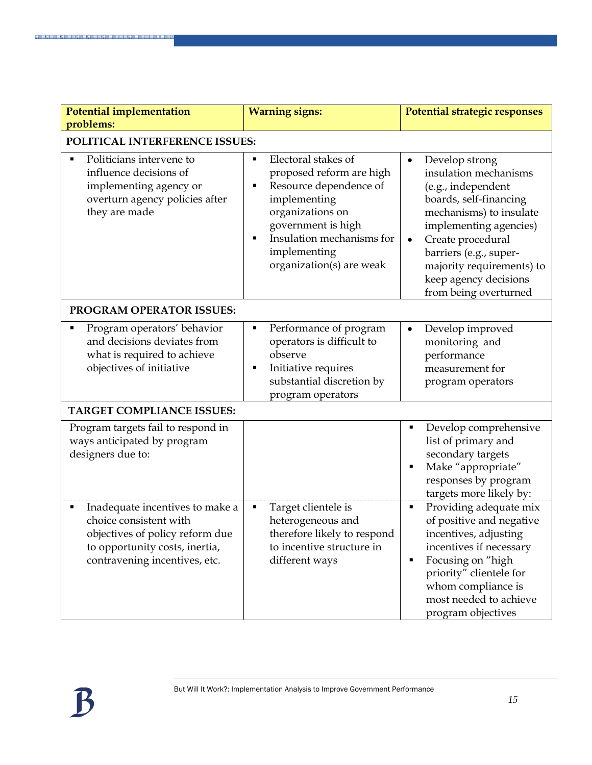| <b>Potential implementation</b><br>problems:                                                                                                                    | <b>Warning signs:</b>                                                                                                                                                                                        | Potential strategic responses                                                                                                                                                                                                                                                                        |  |  |
|-----------------------------------------------------------------------------------------------------------------------------------------------------------------|--------------------------------------------------------------------------------------------------------------------------------------------------------------------------------------------------------------|------------------------------------------------------------------------------------------------------------------------------------------------------------------------------------------------------------------------------------------------------------------------------------------------------|--|--|
| POLITICAL INTERFERENCE ISSUES:                                                                                                                                  |                                                                                                                                                                                                              |                                                                                                                                                                                                                                                                                                      |  |  |
| Politicians intervene to<br>٠<br>influence decisions of<br>implementing agency or<br>overturn agency policies after<br>they are made                            | Electoral stakes of<br>proposed reform are high<br>Resource dependence of<br>implementing<br>organizations on<br>government is high<br>Insulation mechanisms for<br>implementing<br>organization(s) are weak | Develop strong<br>$\bullet$<br>insulation mechanisms<br>(e.g., independent<br>boards, self-financing<br>mechanisms) to insulate<br>implementing agencies)<br>Create procedural<br>$\bullet$<br>barriers (e.g., super-<br>majority requirements) to<br>keep agency decisions<br>from being overturned |  |  |
| PROGRAM OPERATOR ISSUES:                                                                                                                                        |                                                                                                                                                                                                              |                                                                                                                                                                                                                                                                                                      |  |  |
| Program operators' behavior<br>and decisions deviates from<br>what is required to achieve<br>objectives of initiative                                           | Performance of program<br>operators is difficult to<br>observe<br>Initiative requires<br>substantial discretion by<br>program operators                                                                      | Develop improved<br>$\bullet$<br>monitoring and<br>performance<br>measurement for<br>program operators                                                                                                                                                                                               |  |  |
| <b>TARGET COMPLIANCE ISSUES:</b>                                                                                                                                |                                                                                                                                                                                                              |                                                                                                                                                                                                                                                                                                      |  |  |
| Program targets fail to respond in<br>ways anticipated by program<br>designers due to:                                                                          |                                                                                                                                                                                                              | Develop comprehensive<br>П<br>list of primary and<br>secondary targets<br>Make "appropriate"<br>$\blacksquare$<br>responses by program<br>targets more likely by:                                                                                                                                    |  |  |
| Inadequate incentives to make a<br>choice consistent with<br>objectives of policy reform due<br>to opportunity costs, inertia,<br>contravening incentives, etc. | Target clientele is<br>heterogeneous and<br>therefore likely to respond<br>to incentive structure in<br>different ways                                                                                       | Providing adequate mix<br>П<br>of positive and negative<br>incentives, adjusting<br>incentives if necessary<br>Focusing on "high<br>П<br>priority" clientele for<br>whom compliance is<br>most needed to achieve<br>program objectives                                                               |  |  |

<u> Manasa ya katika mata ya katika mata ya katika mata ya katika mata ya katika mata ya katika mata ya katika m</u>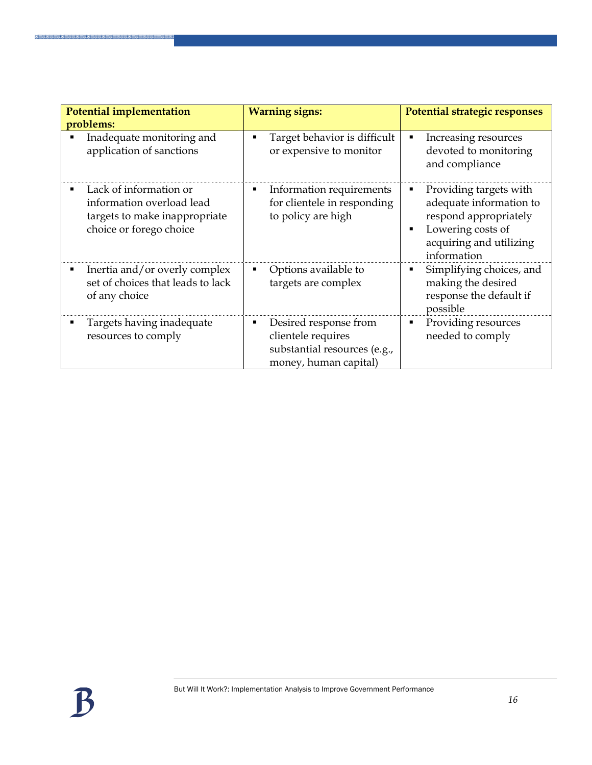| Potential implementation<br>problems:                                                                           | <b>Warning signs:</b>                                                                                | Potential strategic responses                                                                                                                       |
|-----------------------------------------------------------------------------------------------------------------|------------------------------------------------------------------------------------------------------|-----------------------------------------------------------------------------------------------------------------------------------------------------|
| Inadequate monitoring and<br>application of sanctions                                                           | Target behavior is difficult<br>п<br>or expensive to monitor                                         | Increasing resources<br>٠<br>devoted to monitoring<br>and compliance                                                                                |
| Lack of information or<br>information overload lead<br>targets to make inappropriate<br>choice or forego choice | Information requirements<br>Е<br>for clientele in responding<br>to policy are high                   | Providing targets with<br>٠<br>adequate information to<br>respond appropriately<br>Lowering costs of<br>٠<br>acquiring and utilizing<br>information |
| Inertia and/or overly complex<br>set of choices that leads to lack<br>of any choice                             | Options available to<br>٠<br>targets are complex                                                     | Simplifying choices, and<br>٠<br>making the desired<br>response the default if<br>possible                                                          |
| Targets having inadequate<br>resources to comply                                                                | Desired response from<br>clientele requires<br>substantial resources (e.g.,<br>money, human capital) | Providing resources<br>٠<br>needed to comply                                                                                                        |

**BRANSK SKRIVER FRA BRANSK FRA FRA BRANSK FRA F**